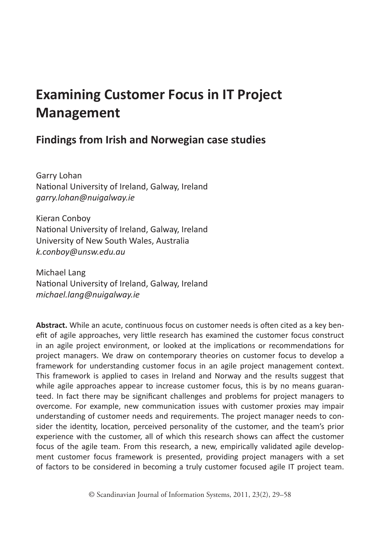# **Examining Customer Focus in IT Project Management**

## **Findings from Irish and Norwegian case studies**

Garry Lohan National University of Ireland, Galway, Ireland *garry.lohan@nuigalway.ie*

Kieran Conboy National University of Ireland, Galway, Ireland University of New South Wales, Australia *k.conboy@unsw.edu.au*

Michael Lang National University of Ireland, Galway, Ireland *michael.lang@nuigalway.ie*

**Abstract.** While an acute, continuous focus on customer needs is often cited as a key benefit of agile approaches, very little research has examined the customer focus construct in an agile project environment, or looked at the implications or recommendations for project managers. We draw on contemporary theories on customer focus to develop a framework for understanding customer focus in an agile project management context. This framework is applied to cases in Ireland and Norway and the results suggest that while agile approaches appear to increase customer focus, this is by no means guaranteed. In fact there may be significant challenges and problems for project managers to overcome. For example, new communication issues with customer proxies may impair understanding of customer needs and requirements. The project manager needs to consider the identity, location, perceived personality of the customer, and the team's prior experience with the customer, all of which this research shows can affect the customer focus of the agile team. From this research, a new, empirically validated agile development customer focus framework is presented, providing project managers with a set of factors to be considered in becoming a truly customer focused agile IT project team.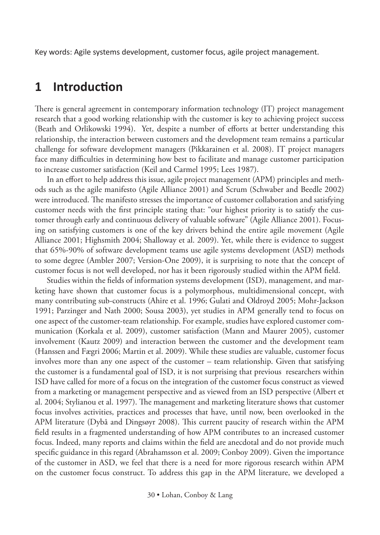Key words: Agile systems development, customer focus, agile project management.

### **1 Introduction**

There is general agreement in contemporary information technology (IT) project management research that a good working relationship with the customer is key to achieving project success (Beath and Orlikowski 1994). Yet, despite a number of efforts at better understanding this relationship, the interaction between customers and the development team remains a particular challenge for software development managers (Pikkarainen et al. 2008). IT project managers face many difficulties in determining how best to facilitate and manage customer participation to increase customer satisfaction (Keil and Carmel 1995; Lees 1987).

In an effort to help address this issue, agile project management (APM) principles and methods such as the agile manifesto (Agile Alliance 2001) and Scrum (Schwaber and Beedle 2002) were introduced. The manifesto stresses the importance of customer collaboration and satisfying customer needs with the first principle stating that: "our highest priority is to satisfy the customer through early and continuous delivery of valuable software" (Agile Alliance 2001). Focusing on satisfying customers is one of the key drivers behind the entire agile movement (Agile Alliance 2001; Highsmith 2004; Shalloway et al. 2009). Yet, while there is evidence to suggest that 65%-90% of software development teams use agile systems development (ASD) methods to some degree (Ambler 2007; Version-One 2009), it is surprising to note that the concept of customer focus is not well developed, nor has it been rigorously studied within the APM field.

Studies within the fields of information systems development (ISD), management, and marketing have shown that customer focus is a polymorphous, multidimensional concept, with many contributing sub-constructs (Ahire et al. 1996; Gulati and Oldroyd 2005; Mohr-Jackson 1991; Parzinger and Nath 2000; Sousa 2003), yet studies in APM generally tend to focus on one aspect of the customer-team relationship. For example, studies have explored customer communication (Korkala et al. 2009), customer satisfaction (Mann and Maurer 2005), customer involvement (Kautz 2009) and interaction between the customer and the development team (Hanssen and Fægri 2006; Martin et al. 2009). While these studies are valuable, customer focus involves more than any one aspect of the customer – team relationship. Given that satisfying the customer is a fundamental goal of ISD, it is not surprising that previous researchers within ISD have called for more of a focus on the integration of the customer focus construct as viewed from a marketing or management perspective and as viewed from an ISD perspective (Albert et al. 2004; Stylianou et al. 1997). The management and marketing literature shows that customer focus involves activities, practices and processes that have, until now, been overlooked in the APM literature (Dybå and Dingsøyr 2008). This current paucity of research within the APM field results in a fragmented understanding of how APM contributes to an increased customer focus. Indeed, many reports and claims within the field are anecdotal and do not provide much specific guidance in this regard (Abrahamsson et al. 2009; Conboy 2009). Given the importance of the customer in ASD, we feel that there is a need for more rigorous research within APM on the customer focus construct. To address this gap in the APM literature, we developed a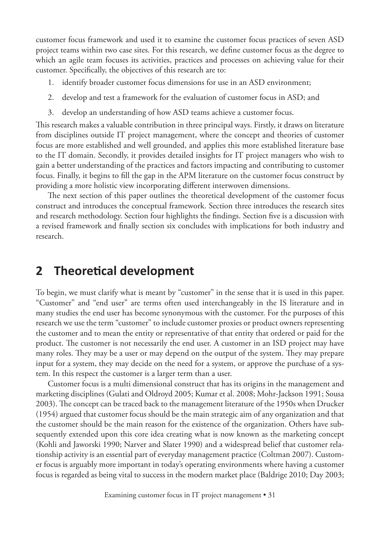customer focus framework and used it to examine the customer focus practices of seven ASD project teams within two case sites. For this research, we define customer focus as the degree to which an agile team focuses its activities, practices and processes on achieving value for their customer. Specifically, the objectives of this research are to:

- 1. identify broader customer focus dimensions for use in an ASD environment;
- 2. develop and test a framework for the evaluation of customer focus in ASD; and
- 3. develop an understanding of how ASD teams achieve a customer focus.

This research makes a valuable contribution in three principal ways. Firstly, it draws on literature from disciplines outside IT project management, where the concept and theories of customer focus are more established and well grounded, and applies this more established literature base to the IT domain. Secondly, it provides detailed insights for IT project managers who wish to gain a better understanding of the practices and factors impacting and contributing to customer focus. Finally, it begins to fill the gap in the APM literature on the customer focus construct by providing a more holistic view incorporating different interwoven dimensions.

The next section of this paper outlines the theoretical development of the customer focus construct and introduces the conceptual framework. Section three introduces the research sites and research methodology. Section four highlights the findings. Section five is a discussion with a revised framework and finally section six concludes with implications for both industry and research.

# **2 Theoretical development**

To begin, we must clarify what is meant by "customer" in the sense that it is used in this paper. "Customer" and "end user" are terms often used interchangeably in the IS literature and in many studies the end user has become synonymous with the customer. For the purposes of this research we use the term "customer" to include customer proxies or product owners representing the customer and to mean the entity or representative of that entity that ordered or paid for the product. The customer is not necessarily the end user. A customer in an ISD project may have many roles. They may be a user or may depend on the output of the system. They may prepare input for a system, they may decide on the need for a system, or approve the purchase of a system. In this respect the customer is a larger term than a user.

Customer focus is a multi dimensional construct that has its origins in the management and marketing disciplines (Gulati and Oldroyd 2005; Kumar et al. 2008; Mohr-Jackson 1991; Sousa 2003). The concept can be traced back to the management literature of the 1950s when Drucker (1954) argued that customer focus should be the main strategic aim of any organization and that the customer should be the main reason for the existence of the organization. Others have subsequently extended upon this core idea creating what is now known as the marketing concept (Kohli and Jaworski 1990; Narver and Slater 1990) and a widespread belief that customer relationship activity is an essential part of everyday management practice (Coltman 2007). Customer focus is arguably more important in today's operating environments where having a customer focus is regarded as being vital to success in the modern market place (Baldrige 2010; Day 2003;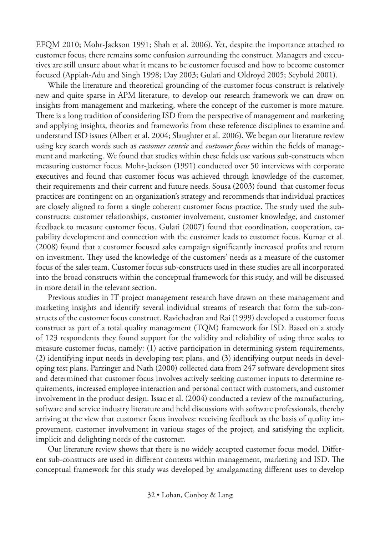EFQM 2010; Mohr-Jackson 1991; Shah et al. 2006). Yet, despite the importance attached to customer focus, there remains some confusion surrounding the construct. Managers and executives are still unsure about what it means to be customer focused and how to become customer focused (Appiah-Adu and Singh 1998; Day 2003; Gulati and Oldroyd 2005; Seybold 2001).

While the literature and theoretical grounding of the customer focus construct is relatively new and quite sparse in APM literature, to develop our research framework we can draw on insights from management and marketing, where the concept of the customer is more mature. There is a long tradition of considering ISD from the perspective of management and marketing and applying insights, theories and frameworks from these reference disciplines to examine and understand ISD issues (Albert et al. 2004; Slaughter et al. 2006). We began our literature review using key search words such as *customer centric* and *customer focus* within the fields of management and marketing. We found that studies within these fields use various sub-constructs when measuring customer focus. Mohr-Jackson (1991) conducted over 50 interviews with corporate executives and found that customer focus was achieved through knowledge of the customer, their requirements and their current and future needs. Sousa (2003) found that customer focus practices are contingent on an organization's strategy and recommends that individual practices are closely aligned to form a single coherent customer focus practice. The study used the subconstructs: customer relationships, customer involvement, customer knowledge, and customer feedback to measure customer focus. Gulati (2007) found that coordination, cooperation, capability development and connection with the customer leads to customer focus. Kumar et al. (2008) found that a customer focused sales campaign significantly increased profits and return on investment. They used the knowledge of the customers' needs as a measure of the customer focus of the sales team. Customer focus sub-constructs used in these studies are all incorporated into the broad constructs within the conceptual framework for this study, and will be discussed in more detail in the relevant section.

Previous studies in IT project management research have drawn on these management and marketing insights and identify several individual streams of research that form the sub-constructs of the customer focus construct. Ravichadran and Rai (1999) developed a customer focus construct as part of a total quality management (TQM) framework for ISD. Based on a study of 123 respondents they found support for the validity and reliability of using three scales to measure customer focus, namely: (1) active participation in determining system requirements, (2) identifying input needs in developing test plans, and (3) identifying output needs in developing test plans. Parzinger and Nath (2000) collected data from 247 software development sites and determined that customer focus involves actively seeking customer inputs to determine requirements, increased employee interaction and personal contact with customers, and customer involvement in the product design. Issac et al. (2004) conducted a review of the manufacturing, software and service industry literature and held discussions with software professionals, thereby arriving at the view that customer focus involves: receiving feedback as the basis of quality improvement, customer involvement in various stages of the project, and satisfying the explicit, implicit and delighting needs of the customer.

Our literature review shows that there is no widely accepted customer focus model. Different sub-constructs are used in different contexts within management, marketing and ISD. The conceptual framework for this study was developed by amalgamating different uses to develop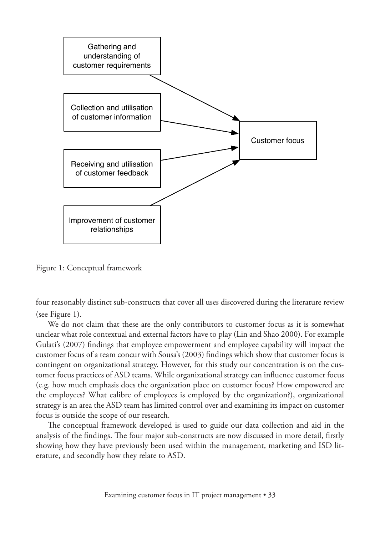

Figure 1: Conceptual framework

four reasonably distinct sub-constructs that cover all uses discovered during the literature review (see Figure 1).

We do not claim that these are the only contributors to customer focus as it is somewhat unclear what role contextual and external factors have to play (Lin and Shao 2000). For example Gulati's (2007) findings that employee empowerment and employee capability will impact the customer focus of a team concur with Sousa's (2003) findings which show that customer focus is contingent on organizational strategy. However, for this study our concentration is on the customer focus practices of ASD teams. While organizational strategy can influence customer focus (e.g. how much emphasis does the organization place on customer focus? How empowered are the employees? What calibre of employees is employed by the organization?), organizational strategy is an area the ASD team has limited control over and examining its impact on customer focus is outside the scope of our research.

The conceptual framework developed is used to guide our data collection and aid in the analysis of the findings. The four major sub-constructs are now discussed in more detail, firstly showing how they have previously been used within the management, marketing and ISD literature, and secondly how they relate to ASD.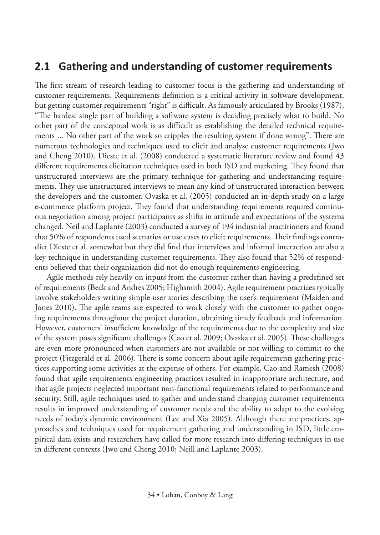#### **2.1 Gathering and understanding of customer requirements**

The first stream of research leading to customer focus is the gathering and understanding of customer requirements. Requirements definition is a critical activity in software development, but getting customer requirements "right" is difficult. As famously articulated by Brooks (1987), "The hardest single part of building a software system is deciding precisely what to build. No other part of the conceptual work is as difficult as establishing the detailed technical requirements ... No other part of the work so cripples the resulting system if done wrong". There are numerous technologies and techniques used to elicit and analyse customer requirements (Jwo and Cheng 2010). Dieste et al. (2008) conducted a systematic literature review and found 43 different requirements elicitation techniques used in both ISD and marketing. They found that unstructured interviews are the primary technique for gathering and understanding requirements. They use unstructured interviews to mean any kind of unstructured interaction between the developers and the customer. Ovaska et al. (2005) conducted an in-depth study on a large e-commerce platform project. They found that understanding requirements required continuous negotiation among project participants as shifts in attitude and expectations of the systems changed. Neil and Laplante (2003) conducted a survey of 194 industrial practitioners and found that 50% of respondents used scenarios or use cases to elicit requirements. Their findings contradict Dieste et al. somewhat but they did find that interviews and informal interaction are also a key technique in understanding customer requirements. They also found that 52% of respondents believed that their organization did not do enough requirements engineering.

Agile methods rely heavily on inputs from the customer rather than having a predefined set of requirements (Beck and Andres 2005; Highsmith 2004). Agile requirement practices typically involve stakeholders writing simple user stories describing the user's requirement (Maiden and Jones 2010). The agile teams are expected to work closely with the customer to gather ongoing requirements throughout the project duration, obtaining timely feedback and information. However, customers' insufficient knowledge of the requirements due to the complexity and size of the system poses significant challenges (Cao et al. 2009; Ovaska et al. 2005). These challenges are even more pronounced when customers are not available or not willing to commit to the project (Fitzgerald et al. 2006). There is some concern about agile requirements gathering practices supporting some activities at the expense of others. For example, Cao and Ramesh (2008) found that agile requirements engineering practices resulted in inappropriate architecture, and that agile projects neglected important non-functional requirements related to performance and security. Still, agile techniques used to gather and understand changing customer requirements results in improved understanding of customer needs and the ability to adapt to the evolving needs of today's dynamic environment (Lee and Xia 2005). Although there are practices, approaches and techniques used for requirement gathering and understanding in ISD, little empirical data exists and researchers have called for more research into differing techniques in use in different contexts (Jwo and Cheng 2010; Neill and Laplante 2003).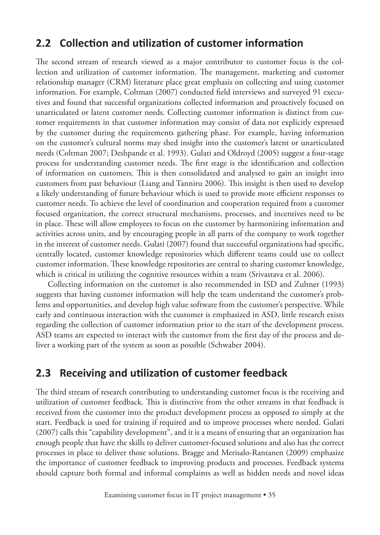#### **2.2 Collection and utilization of customer information**

The second stream of research viewed as a major contributor to customer focus is the collection and utilization of customer information. The management, marketing and customer relationship manager (CRM) literature place great emphasis on collecting and using customer information. For example, Coltman (2007) conducted field interviews and surveyed 91 executives and found that successful organizations collected information and proactively focused on unarticulated or latent customer needs. Collecting customer information is distinct from customer requirements in that customer information may consist of data not explicitly expressed by the customer during the requirements gathering phase. For example, having information on the customer's cultural norms may shed insight into the customer's latent or unarticulated needs (Coltman 2007; Deshpande et al. 1993). Gulati and Oldroyd (2005) suggest a four-stage process for understanding customer needs. The first stage is the identification and collection of information on customers. This is then consolidated and analysed to gain an insight into customers from past behaviour (Liang and Tanniru 2006). This insight is then used to develop a likely understanding of future behaviour which is used to provide more efficient responses to customer needs. To achieve the level of coordination and cooperation required from a customer focused organization, the correct structural mechanisms, processes, and incentives need to be in place. These will allow employees to focus on the customer by harmonizing information and activities across units, and by encouraging people in all parts of the company to work together in the interest of customer needs. Gulati (2007) found that successful organizations had specific, centrally located, customer knowledge repositories which different teams could use to collect customer information. These knowledge repositories are central to sharing customer knowledge, which is critical in utilizing the cognitive resources within a team (Srivastava et al. 2006).

Collecting information on the customer is also recommended in ISD and Zultner (1993) suggests that having customer information will help the team understand the customer's problems and opportunities, and develop high value software from the customer's perspective. While early and continuous interaction with the customer is emphasized in ASD, little research exists regarding the collection of customer information prior to the start of the development process. ASD teams are expected to interact with the customer from the first day of the process and deliver a working part of the system as soon as possible (Schwaber 2004).

#### **2.3 Receiving and utilization of customer feedback**

The third stream of research contributing to understanding customer focus is the receiving and utilization of customer feedback. This is distinctive from the other streams in that feedback is received from the customer into the product development process as opposed to simply at the start. Feedback is used for training if required and to improve processes where needed. Gulati (2007) calls this "capability development", and it is a means of ensuring that an organization has enough people that have the skills to deliver customer-focused solutions and also has the correct processes in place to deliver those solutions. Bragge and Merisalo-Rantanen (2009) emphasize the importance of customer feedback to improving products and processes. Feedback systems should capture both formal and informal complaints as well as hidden needs and novel ideas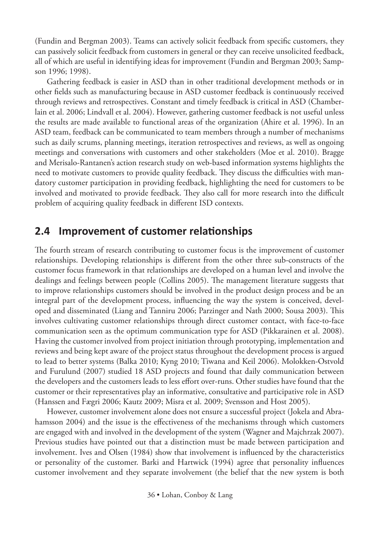(Fundin and Bergman 2003). Teams can actively solicit feedback from specific customers, they can passively solicit feedback from customers in general or they can receive unsolicited feedback, all of which are useful in identifying ideas for improvement (Fundin and Bergman 2003; Sampson 1996; 1998).

Gathering feedback is easier in ASD than in other traditional development methods or in other fields such as manufacturing because in ASD customer feedback is continuously received through reviews and retrospectives. Constant and timely feedback is critical in ASD (Chamberlain et al. 2006; Lindvall et al. 2004). However, gathering customer feedback is not useful unless the results are made available to functional areas of the organization (Ahire et al. 1996). In an ASD team, feedback can be communicated to team members through a number of mechanisms such as daily scrums, planning meetings, iteration retrospectives and reviews, as well as ongoing meetings and conversations with customers and other stakeholders (Moe et al. 2010). Bragge and Merisalo-Rantanen's action research study on web-based information systems highlights the need to motivate customers to provide quality feedback. They discuss the difficulties with mandatory customer participation in providing feedback, highlighting the need for customers to be involved and motivated to provide feedback. They also call for more research into the difficult problem of acquiring quality feedback in different ISD contexts.

#### **2.4 Improvement of customer relationships**

The fourth stream of research contributing to customer focus is the improvement of customer relationships. Developing relationships is different from the other three sub-constructs of the customer focus framework in that relationships are developed on a human level and involve the dealings and feelings between people (Collins 2005). The management literature suggests that to improve relationships customers should be involved in the product design process and be an integral part of the development process, influencing the way the system is conceived, developed and disseminated (Liang and Tanniru 2006; Parzinger and Nath 2000; Sousa 2003). This involves cultivating customer relationships through direct customer contact, with face-to-face communication seen as the optimum communication type for ASD (Pikkarainen et al. 2008). Having the customer involved from project initiation through prototyping, implementation and reviews and being kept aware of the project status throughout the development process is argued to lead to better systems (Balka 2010; Kyng 2010; Tiwana and Keil 2006). Molokken-Ostvold and Furulund (2007) studied 18 ASD projects and found that daily communication between the developers and the customers leads to less effort over-runs. Other studies have found that the customer or their representatives play an informative, consultative and participative role in ASD (Hanssen and Fægri 2006; Kautz 2009; Misra et al. 2009; Svensson and Host 2005).

However, customer involvement alone does not ensure a successful project (Jokela and Abrahamsson 2004) and the issue is the effectiveness of the mechanisms through which customers are engaged with and involved in the development of the system (Wagner and Majchrzak 2007). Previous studies have pointed out that a distinction must be made between participation and involvement. Ives and Olsen (1984) show that involvement is influenced by the characteristics or personality of the customer. Barki and Hartwick (1994) agree that personality influences customer involvement and they separate involvement (the belief that the new system is both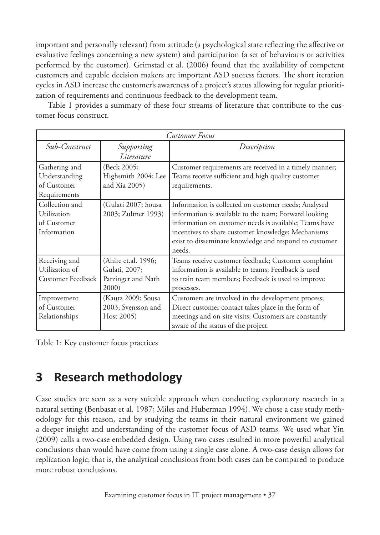important and personally relevant) from attitude (a psychological state reflecting the affective or evaluative feelings concerning a new system) and participation (a set of behaviours or activities performed by the customer). Grimstad et al. (2006) found that the availability of competent customers and capable decision makers are important ASD success factors. The short iteration cycles in ASD increase the customer's awareness of a project's status allowing for regular prioritization of requirements and continuous feedback to the development team.

Table 1 provides a summary of these four streams of literature that contribute to the customer focus construct.

| <b>Customer Focus</b>                                         |                                                                     |                                                                                                                                                                                                                                                                                                   |  |
|---------------------------------------------------------------|---------------------------------------------------------------------|---------------------------------------------------------------------------------------------------------------------------------------------------------------------------------------------------------------------------------------------------------------------------------------------------|--|
| Sub-Construct                                                 | Supporting                                                          | Description                                                                                                                                                                                                                                                                                       |  |
|                                                               | Literature                                                          |                                                                                                                                                                                                                                                                                                   |  |
| Gathering and<br>Understanding<br>of Customer<br>Requirements | (Beck 2005;<br>Highsmith 2004; Lee<br>and Xia 2005)                 | Customer requirements are received in a timely manner;<br>Teams receive sufficient and high quality customer<br>requirements.                                                                                                                                                                     |  |
| Collection and<br>Utilization<br>of Customer<br>Information   | (Gulati 2007; Sousa<br>2003; Zultner 1993)                          | Information is collected on customer needs; Analysed<br>information is available to the team; Forward looking<br>information on customer needs is available; Teams have<br>incentives to share customer knowledge; Mechanisms<br>exist to disseminate knowledge and respond to customer<br>needs. |  |
| Receiving and<br>Utilization of<br>Customer Feedback 1        | (Ahire et.al. 1996;<br>Gulati, 2007;<br>Parzinger and Nath<br>2000) | Teams receive customer feedback; Customer complaint<br>information is available to teams; Feedback is used<br>to train team members; Feedback is used to improve<br>processes.                                                                                                                    |  |
| Improvement<br>of Customer<br>Relationships                   | (Kautz 2009; Sousa<br>2003; Svensson and<br>Host 2005)              | Customers are involved in the development process;<br>Direct customer contact takes place in the form of<br>meetings and on-site visits; Customers are constantly<br>aware of the status of the project.                                                                                          |  |

Table 1: Key customer focus practices

# **3 Research methodology**

Case studies are seen as a very suitable approach when conducting exploratory research in a natural setting (Benbasat et al. 1987; Miles and Huberman 1994). We chose a case study methodology for this reason, and by studying the teams in their natural environment we gained a deeper insight and understanding of the customer focus of ASD teams. We used what Yin (2009) calls a two-case embedded design. Using two cases resulted in more powerful analytical conclusions than would have come from using a single case alone. A two-case design allows for replication logic; that is, the analytical conclusions from both cases can be compared to produce more robust conclusions.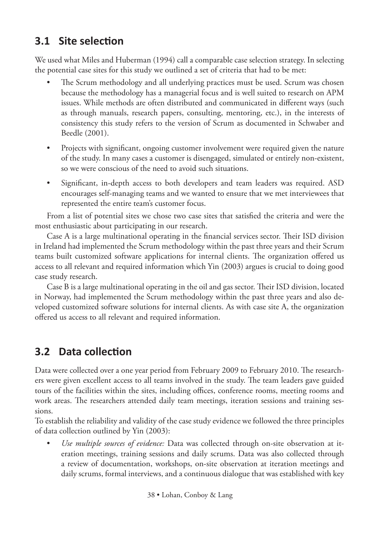# **3.1 Site selection**

We used what Miles and Huberman (1994) call a comparable case selection strategy. In selecting the potential case sites for this study we outlined a set of criteria that had to be met:

- The Scrum methodology and all underlying practices must be used. Scrum was chosen because the methodology has a managerial focus and is well suited to research on APM issues. While methods are often distributed and communicated in different ways (such as through manuals, research papers, consulting, mentoring, etc.), in the interests of consistency this study refers to the version of Scrum as documented in Schwaber and Beedle (2001).
- Projects with significant, ongoing customer involvement were required given the nature of the study. In many cases a customer is disengaged, simulated or entirely non-existent, so we were conscious of the need to avoid such situations.
- Significant, in-depth access to both developers and team leaders was required. ASD encourages self-managing teams and we wanted to ensure that we met interviewees that represented the entire team's customer focus.

From a list of potential sites we chose two case sites that satisfied the criteria and were the most enthusiastic about participating in our research.

Case A is a large multinational operating in the financial services sector. Their ISD division in Ireland had implemented the Scrum methodology within the past three years and their Scrum teams built customized software applications for internal clients. The organization offered us access to all relevant and required information which Yin (2003) argues is crucial to doing good case study research.

Case B is a large multinational operating in the oil and gas sector. Their ISD division, located in Norway, had implemented the Scrum methodology within the past three years and also developed customized software solutions for internal clients. As with case site A, the organization offered us access to all relevant and required information.

# **3.2 Data collection**

Data were collected over a one year period from February 2009 to February 2010. The researchers were given excellent access to all teams involved in the study. The team leaders gave guided tours of the facilities within the sites, including offices, conference rooms, meeting rooms and work areas. The researchers attended daily team meetings, iteration sessions and training sessions.

To establish the reliability and validity of the case study evidence we followed the three principles of data collection outlined by Yin (2003):

• *Use multiple sources of evidence:* Data was collected through on-site observation at iteration meetings, training sessions and daily scrums. Data was also collected through a review of documentation, workshops, on-site observation at iteration meetings and daily scrums, formal interviews, and a continuous dialogue that was established with key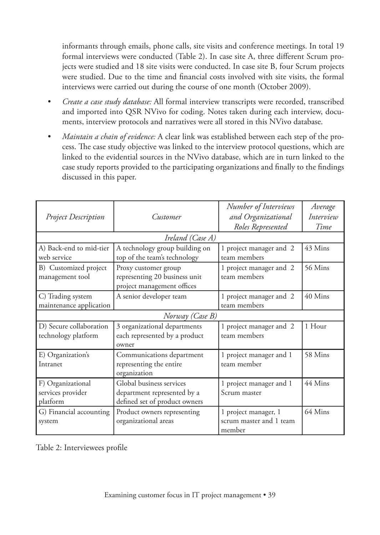informants through emails, phone calls, site visits and conference meetings. In total 19 formal interviews were conducted (Table 2). In case site A, three different Scrum projects were studied and 18 site visits were conducted. In case site B, four Scrum projects were studied. Due to the time and financial costs involved with site visits, the formal interviews were carried out during the course of one month (October 2009).

- *Create a case study database:* All formal interview transcripts were recorded, transcribed and imported into QSR NVivo for coding. Notes taken during each interview, documents, interview protocols and narratives were all stored in this NVivo database.
- *Maintain a chain of evidence:* A clear link was established between each step of the process. The case study objective was linked to the interview protocol questions, which are linked to the evidential sources in the NVivo database, which are in turn linked to the case study reports provided to the participating organizations and finally to the findings discussed in this paper.

| <b>Project Description</b>                         | Customer                                                                                 | Number of Interviews<br>and Organizational<br>Roles Represented | Average<br>Interview<br>Time |  |
|----------------------------------------------------|------------------------------------------------------------------------------------------|-----------------------------------------------------------------|------------------------------|--|
|                                                    | Ireland (Case A)                                                                         |                                                                 |                              |  |
| A) Back-end to mid-tier<br>web service             | A technology group building on<br>top of the team's technology                           | 1 project manager and 2<br>team members                         | 43 Mins                      |  |
| B) Customized project<br>management tool           | Proxy customer group<br>representing 20 business unit<br>project management offices      | 1 project manager and 2<br>team members                         | 56 Mins                      |  |
| C) Trading system<br>maintenance application       | A senior developer team                                                                  | 1 project manager and 2<br>team members                         | 40 Mins                      |  |
|                                                    | Norway (Case B)                                                                          |                                                                 |                              |  |
| D) Secure collaboration<br>technology platform     | 3 organizational departments<br>each represented by a product<br>owner                   | 1 project manager and 2<br>team members                         | 1 Hour                       |  |
| E) Organization's<br>Intranet                      | Communications department<br>representing the entire<br>organization                     | 1 project manager and 1<br>team member                          | 58 Mins                      |  |
| F) Organizational<br>services provider<br>platform | Global business services<br>department represented by a<br>defined set of product owners | 1 project manager and 1<br>Scrum master                         | 44 Mins                      |  |
| G) Financial accounting<br>system                  | Product owners representing<br>organizational areas                                      | 1 project manager, 1<br>scrum master and 1 team<br>member       | 64 Mins                      |  |

Table 2: Interviewees profile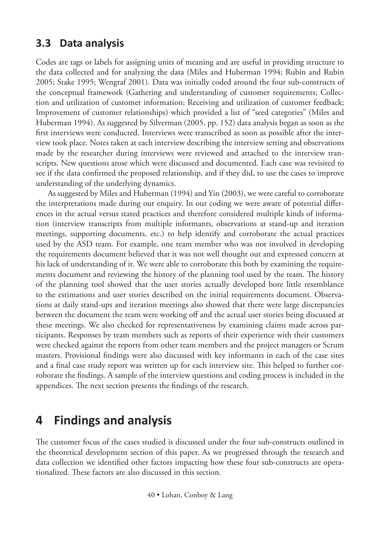#### **3.3 Data analysis**

Codes are tags or labels for assigning units of meaning and are useful in providing structure to the data collected and for analyzing the data (Miles and Huberman 1994; Rubin and Rubin 2005; Stake 1995; Wengraf 2001). Data was initially coded around the four sub-constructs of the conceptual framework (Gathering and understanding of customer requirements; Collection and utilization of customer information; Receiving and utilization of customer feedback; Improvement of customer relationships) which provided a list of "seed categories" (Miles and Huberman 1994). As suggested by Silverman (2005, pp. 152) data analysis began as soon as the first interviews were conducted. Interviews were transcribed as soon as possible after the interview took place. Notes taken at each interview describing the interview setting and observations made by the researcher during interviews were reviewed and attached to the interview transcripts. New questions arose which were discussed and documented. Each case was revisited to see if the data confirmed the proposed relationship, and if they did, to use the cases to improve understanding of the underlying dynamics.

As suggested by Miles and Huberman (1994) and Yin (2003), we were careful to corroborate the interpretations made during our enquiry. In our coding we were aware of potential differences in the actual versus stated practices and therefore considered multiple kinds of information (interview transcripts from multiple informants, observations at stand-up and iteration meetings, supporting documents, etc.) to help identify and corroborate the actual practices used by the ASD team. For example, one team member who was not involved in developing the requirements document believed that it was not well thought out and expressed concern at his lack of understanding of it. We were able to corroborate this both by examining the requirements document and reviewing the history of the planning tool used by the team. The history of the planning tool showed that the user stories actually developed bore little resemblance to the estimations and user stories described on the initial requirements document. Observations at daily stand-ups and iteration meetings also showed that there were large discrepancies between the document the team were working off and the actual user stories being discussed at these meetings. We also checked for representativeness by examining claims made across participants. Responses by team members such as reports of their experience with their customers were checked against the reports from other team members and the project managers or Scrum masters. Provisional findings were also discussed with key informants in each of the case sites and a final case study report was written up for each interview site. This helped to further corroborate the findings. A sample of the interview questions and coding process is included in the appendices. The next section presents the findings of the research.

## **4 Findings and analysis**

The customer focus of the cases studied is discussed under the four sub-constructs outlined in the theoretical development section of this paper. As we progressed through the research and data collection we identified other factors impacting how these four sub-constructs are operationalized. These factors are also discussed in this section.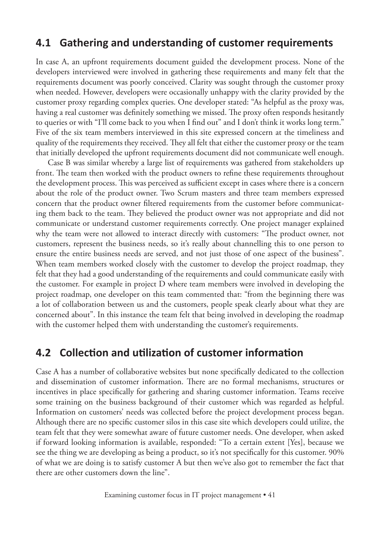#### **4.1 Gathering and understanding of customer requirements**

In case A, an upfront requirements document guided the development process. None of the developers interviewed were involved in gathering these requirements and many felt that the requirements document was poorly conceived. Clarity was sought through the customer proxy when needed. However, developers were occasionally unhappy with the clarity provided by the customer proxy regarding complex queries. One developer stated: "As helpful as the proxy was, having a real customer was definitely something we missed. The proxy often responds hesitantly to queries or with "I'll come back to you when I find out" and I don't think it works long term." Five of the six team members interviewed in this site expressed concern at the timeliness and quality of the requirements they received. They all felt that either the customer proxy or the team that initially developed the upfront requirements document did not communicate well enough.

Case B was similar whereby a large list of requirements was gathered from stakeholders up front. The team then worked with the product owners to refine these requirements throughout the development process. This was perceived as sufficient except in cases where there is a concern about the role of the product owner. Two Scrum masters and three team members expressed concern that the product owner filtered requirements from the customer before communicating them back to the team. They believed the product owner was not appropriate and did not communicate or understand customer requirements correctly. One project manager explained why the team were not allowed to interact directly with customers: "The product owner, not customers, represent the business needs, so it's really about channelling this to one person to ensure the entire business needs are served, and not just those of one aspect of the business". When team members worked closely with the customer to develop the project roadmap, they felt that they had a good understanding of the requirements and could communicate easily with the customer. For example in project D where team members were involved in developing the project roadmap, one developer on this team commented that: "from the beginning there was a lot of collaboration between us and the customers, people speak clearly about what they are concerned about". In this instance the team felt that being involved in developing the roadmap with the customer helped them with understanding the customer's requirements.

#### **4.2 Collection and utilization of customer information**

Case A has a number of collaborative websites but none specifically dedicated to the collection and dissemination of customer information. There are no formal mechanisms, structures or incentives in place specifically for gathering and sharing customer information. Teams receive some training on the business background of their customer which was regarded as helpful. Information on customers' needs was collected before the project development process began. Although there are no specific customer silos in this case site which developers could utilize, the team felt that they were somewhat aware of future customer needs. One developer, when asked if forward looking information is available, responded: "To a certain extent [Yes], because we see the thing we are developing as being a product, so it's not specifically for this customer. 90% of what we are doing is to satisfy customer A but then we've also got to remember the fact that there are other customers down the line".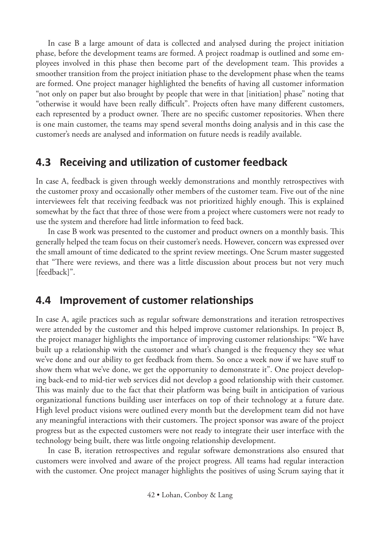In case B a large amount of data is collected and analysed during the project initiation phase, before the development teams are formed. A project roadmap is outlined and some employees involved in this phase then become part of the development team. This provides a smoother transition from the project initiation phase to the development phase when the teams are formed. One project manager highlighted the benefits of having all customer information "not only on paper but also brought by people that were in that [initiation] phase" noting that "otherwise it would have been really difficult". Projects often have many different customers, each represented by a product owner. There are no specific customer repositories. When there is one main customer, the teams may spend several months doing analysis and in this case the customer's needs are analysed and information on future needs is readily available.

#### **4.3 Receiving and utilization of customer feedback**

In case A, feedback is given through weekly demonstrations and monthly retrospectives with the customer proxy and occasionally other members of the customer team. Five out of the nine interviewees felt that receiving feedback was not prioritized highly enough. This is explained somewhat by the fact that three of those were from a project where customers were not ready to use the system and therefore had little information to feed back.

In case B work was presented to the customer and product owners on a monthly basis. This generally helped the team focus on their customer's needs. However, concern was expressed over the small amount of time dedicated to the sprint review meetings. One Scrum master suggested that "There were reviews, and there was a little discussion about process but not very much [feedback]".

#### **4.4 Improvement of customer relationships**

In case A, agile practices such as regular software demonstrations and iteration retrospectives were attended by the customer and this helped improve customer relationships. In project B, the project manager highlights the importance of improving customer relationships: "We have built up a relationship with the customer and what's changed is the frequency they see what we've done and our ability to get feedback from them. So once a week now if we have stuff to show them what we've done, we get the opportunity to demonstrate it". One project developing back-end to mid-tier web services did not develop a good relationship with their customer. This was mainly due to the fact that their platform was being built in anticipation of various organizational functions building user interfaces on top of their technology at a future date. High level product visions were outlined every month but the development team did not have any meaningful interactions with their customers. The project sponsor was aware of the project progress but as the expected customers were not ready to integrate their user interface with the technology being built, there was little ongoing relationship development.

In case B, iteration retrospectives and regular software demonstrations also ensured that customers were involved and aware of the project progress. All teams had regular interaction with the customer. One project manager highlights the positives of using Scrum saying that it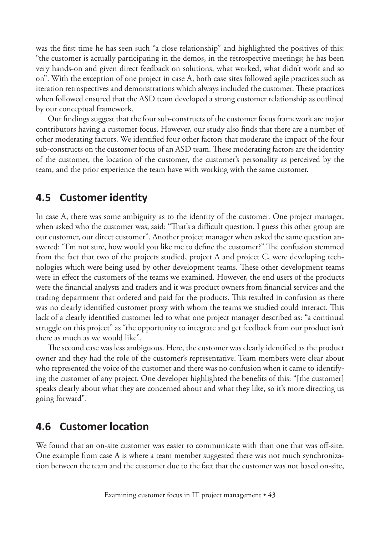was the first time he has seen such "a close relationship" and highlighted the positives of this: "the customer is actually participating in the demos, in the retrospective meetings; he has been very hands-on and given direct feedback on solutions, what worked, what didn't work and so on". With the exception of one project in case A, both case sites followed agile practices such as iteration retrospectives and demonstrations which always included the customer. These practices when followed ensured that the ASD team developed a strong customer relationship as outlined by our conceptual framework.

Our findings suggest that the four sub-constructs of the customer focus framework are major contributors having a customer focus. However, our study also finds that there are a number of other moderating factors. We identified four other factors that moderate the impact of the four sub-constructs on the customer focus of an ASD team. These moderating factors are the identity of the customer, the location of the customer, the customer's personality as perceived by the team, and the prior experience the team have with working with the same customer.

#### **4.5 Customer identity**

In case A, there was some ambiguity as to the identity of the customer. One project manager, when asked who the customer was, said: "That's a difficult question. I guess this other group are our customer, our direct customer". Another project manager when asked the same question answered: "I'm not sure, how would you like me to define the customer?" The confusion stemmed from the fact that two of the projects studied, project A and project C, were developing technologies which were being used by other development teams. These other development teams were in effect the customers of the teams we examined. However, the end users of the products were the financial analysts and traders and it was product owners from financial services and the trading department that ordered and paid for the products. This resulted in confusion as there was no clearly identified customer proxy with whom the teams we studied could interact. This lack of a clearly identified customer led to what one project manager described as: "a continual struggle on this project" as "the opportunity to integrate and get feedback from our product isn't there as much as we would like".

The second case was less ambiguous. Here, the customer was clearly identified as the product owner and they had the role of the customer's representative. Team members were clear about who represented the voice of the customer and there was no confusion when it came to identifying the customer of any project. One developer highlighted the benefits of this: "[the customer] speaks clearly about what they are concerned about and what they like, so it's more directing us going forward".

#### **4.6 Customer location**

We found that an on-site customer was easier to communicate with than one that was off-site. One example from case A is where a team member suggested there was not much synchronization between the team and the customer due to the fact that the customer was not based on-site,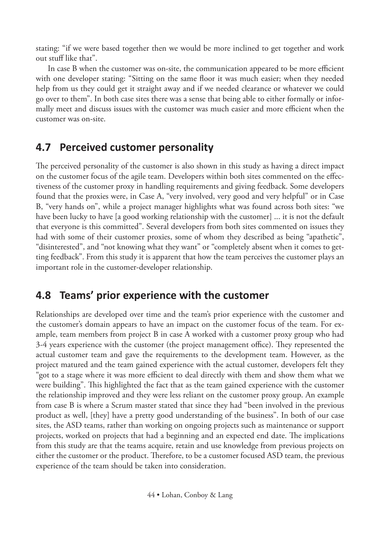stating: "if we were based together then we would be more inclined to get together and work out stuff like that".

In case B when the customer was on-site, the communication appeared to be more efficient with one developer stating: "Sitting on the same floor it was much easier; when they needed help from us they could get it straight away and if we needed clearance or whatever we could go over to them". In both case sites there was a sense that being able to either formally or informally meet and discuss issues with the customer was much easier and more efficient when the customer was on-site.

### **4.7 Perceived customer personality**

The perceived personality of the customer is also shown in this study as having a direct impact on the customer focus of the agile team. Developers within both sites commented on the effectiveness of the customer proxy in handling requirements and giving feedback. Some developers found that the proxies were, in Case A, "very involved, very good and very helpful" or in Case B, "very hands on", while a project manager highlights what was found across both sites: "we have been lucky to have [a good working relationship with the customer] ... it is not the default that everyone is this committed". Several developers from both sites commented on issues they had with some of their customer proxies, some of whom they described as being "apathetic", "disinterested", and "not knowing what they want" or "completely absent when it comes to getting feedback". From this study it is apparent that how the team perceives the customer plays an important role in the customer-developer relationship.

### **4.8 Teams' prior experience with the customer**

Relationships are developed over time and the team's prior experience with the customer and the customer's domain appears to have an impact on the customer focus of the team. For example, team members from project B in case A worked with a customer proxy group who had 3-4 years experience with the customer (the project management office). They represented the actual customer team and gave the requirements to the development team. However, as the project matured and the team gained experience with the actual customer, developers felt they "got to a stage where it was more efficient to deal directly with them and show them what we were building". This highlighted the fact that as the team gained experience with the customer the relationship improved and they were less reliant on the customer proxy group. An example from case B is where a Scrum master stated that since they had "been involved in the previous product as well, [they] have a pretty good understanding of the business". In both of our case sites, the ASD teams, rather than working on ongoing projects such as maintenance or support projects, worked on projects that had a beginning and an expected end date. The implications from this study are that the teams acquire, retain and use knowledge from previous projects on either the customer or the product. Therefore, to be a customer focused ASD team, the previous experience of the team should be taken into consideration.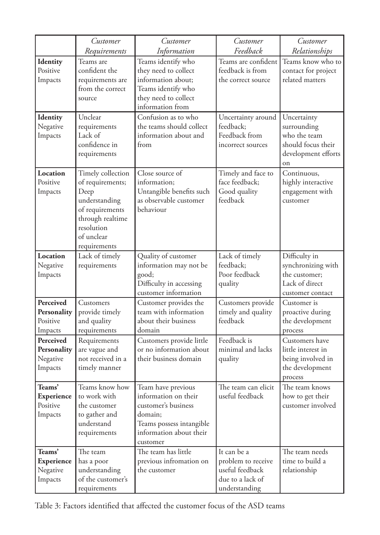|                                                    | Customer                                                                                                                                          | Customer                                                                                                                                        | Customer                                                                                  | Customer                                                                                      |
|----------------------------------------------------|---------------------------------------------------------------------------------------------------------------------------------------------------|-------------------------------------------------------------------------------------------------------------------------------------------------|-------------------------------------------------------------------------------------------|-----------------------------------------------------------------------------------------------|
|                                                    | Requirements                                                                                                                                      | Information                                                                                                                                     | Feedback                                                                                  | Relationships                                                                                 |
| Identity<br>Positive<br>Impacts                    | Teams are<br>confident the<br>requirements are<br>from the correct<br>source                                                                      | Teams identify who<br>they need to collect<br>information about;<br>Teams identify who<br>they need to collect<br>information from              | Teams are confident<br>feedback is from<br>the correct source                             | Teams know who to<br>contact for project<br>related matters                                   |
| Identity<br>Negative<br>Impacts                    | Unclear<br>requirements<br>Lack of<br>confidence in<br>requirements                                                                               | Confusion as to who<br>the teams should collect<br>information about and<br>from                                                                | Uncertainty around<br>feedback;<br>Feedback from<br>incorrect sources                     | Uncertainty<br>surrounding<br>who the team<br>should focus their<br>development efforts<br>on |
| Location<br>Positive<br>Impacts                    | Timely collection<br>of requirements;<br>Deep<br>understanding<br>of requirements<br>through realtime<br>resolution<br>of unclear<br>requirements | Close source of<br>information;<br>Untangible benefits such<br>as observable customer<br>behaviour                                              | Timely and face to<br>face feedback;<br>Good quality<br>feedback                          | Continuous,<br>highly interactive<br>engagement with<br>customer                              |
| Location<br>Negative<br>Impacts                    | Lack of timely<br>requirements                                                                                                                    | Quality of customer<br>information may not be<br>good;<br>Difficulty in accessing<br>customer information                                       | Lack of timely<br>feedback;<br>Poor feedback<br>quality                                   | Difficulty in<br>synchronizing with<br>the customer;<br>Lack of direct<br>customer contact    |
| Perceived<br>Personality<br>Positive<br>Impacts    | Customers<br>provide timely<br>and quality<br>requirements                                                                                        | Customer provides the<br>team with information<br>about their business<br>domain                                                                | Customers provide<br>timely and quality<br>feedback                                       | Customer is<br>proactive during<br>the development<br>process                                 |
| Perceived<br>Personality<br>Negative<br>Impacts    | Requirements<br>are vague and<br>not received in a<br>timely manner                                                                               | Customers provide little<br>or no information about<br>their business domain                                                                    | Feedback is<br>minimal and lacks<br>quality                                               | Customers have<br>little interest in<br>being involved in<br>the development<br>process       |
| Teams'<br>Experience<br>Positive<br>Impacts        | Teams know how<br>to work with<br>the customer<br>to gather and<br>understand<br>requirements                                                     | Team have previous<br>information on their<br>customer's business<br>domain;<br>Teams possess intangible<br>information about their<br>customer | The team can elicit<br>useful feedback                                                    | The team knows<br>how to get their<br>customer involved                                       |
| Teams'<br><b>Experience</b><br>Negative<br>Impacts | The team<br>has a poor<br>understanding<br>of the customer's<br>requirements                                                                      | The team has little<br>previous infromation on<br>the customer                                                                                  | It can be a<br>problem to receive<br>useful feedback<br>due to a lack of<br>understanding | The team needs<br>time to build a<br>relationship                                             |

Table 3: Factors identified that affected the customer focus of the ASD teams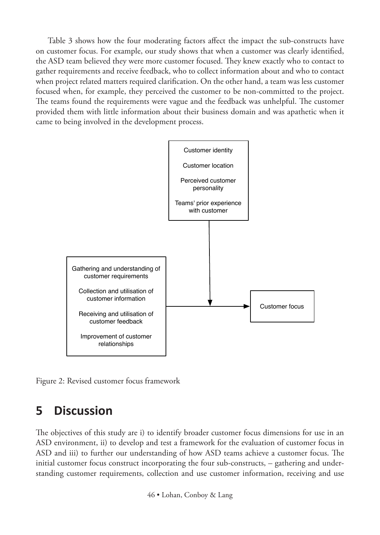Table 3 shows how the four moderating factors affect the impact the sub-constructs have on customer focus. For example, our study shows that when a customer was clearly identified, the ASD team believed they were more customer focused. They knew exactly who to contact to gather requirements and receive feedback, who to collect information about and who to contact when project related matters required clarification. On the other hand, a team was less customer focused when, for example, they perceived the customer to be non-committed to the project. The teams found the requirements were vague and the feedback was unhelpful. The customer provided them with little information about their business domain and was apathetic when it came to being involved in the development process.



Figure 2: Revised customer focus framework

# **5 Discussion**

The objectives of this study are i) to identify broader customer focus dimensions for use in an ASD environment, ii) to develop and test a framework for the evaluation of customer focus in ASD and iii) to further our understanding of how ASD teams achieve a customer focus. The initial customer focus construct incorporating the four sub-constructs, – gathering and understanding customer requirements, collection and use customer information, receiving and use

46 • Lohan, Conboy & Lang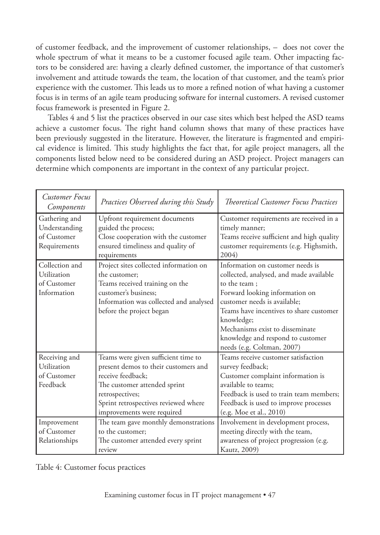of customer feedback, and the improvement of customer relationships, – does not cover the whole spectrum of what it means to be a customer focused agile team. Other impacting factors to be considered are: having a clearly defined customer, the importance of that customer's involvement and attitude towards the team, the location of that customer, and the team's prior experience with the customer. This leads us to more a refined notion of what having a customer focus is in terms of an agile team producing software for internal customers. A revised customer focus framework is presented in Figure 2.

Tables 4 and 5 list the practices observed in our case sites which best helped the ASD teams achieve a customer focus. The right hand column shows that many of these practices have been previously suggested in the literature. However, the literature is fragmented and empirical evidence is limited. This study highlights the fact that, for agile project managers, all the components listed below need to be considered during an ASD project. Project managers can determine which components are important in the context of any particular project.

| Customer Focus<br>Components                                  | Practices Observed during this Study                                                                                                                                                                                      | <b>Theoretical Customer Focus Practices</b>                                                                                                                                                                                                                                                                                  |
|---------------------------------------------------------------|---------------------------------------------------------------------------------------------------------------------------------------------------------------------------------------------------------------------------|------------------------------------------------------------------------------------------------------------------------------------------------------------------------------------------------------------------------------------------------------------------------------------------------------------------------------|
| Gathering and<br>Understanding<br>of Customer<br>Requirements | Upfront requirement documents<br>guided the process;<br>Close cooperation with the customer<br>ensured timeliness and quality of<br>requirements                                                                          | Customer requirements are received in a<br>timely manner;<br>Teams receive sufficient and high quality<br>customer requirements (e.g. Highsmith,<br>2004)                                                                                                                                                                    |
| Collection and<br>Utilization<br>of Customer<br>Information   | Project sites collected information on<br>the customer;<br>Teams received training on the<br>customer's business:<br>Information was collected and analysed<br>before the project began                                   | Information on customer needs is<br>collected, analysed, and made available<br>to the team:<br>Forward looking information on<br>customer needs is available;<br>Teams have incentives to share customer<br>knowledge;<br>Mechanisms exist to disseminate<br>knowledge and respond to customer<br>needs (e.g. Coltman, 2007) |
| Receiving and<br>Utilization<br>of Customer<br>Feedback       | Teams were given sufficient time to<br>present demos to their customers and<br>receive feedback:<br>The customer attended sprint<br>retrospectives;<br>Sprint retrospectives reviewed where<br>improvements were required | Teams receive customer satisfaction<br>survey feedback;<br>Customer complaint information is<br>available to teams;<br>Feedback is used to train team members:<br>Feedback is used to improve processes<br>(e.g. Moe et al., 2010)                                                                                           |
| Improvement<br>of Customer<br>Relationships                   | The team gave monthly demonstrations<br>to the customer;<br>The customer attended every sprint<br>review                                                                                                                  | Involvement in development process,<br>meeting directly with the team,<br>awareness of project progression (e.g.<br>Kautz, 2009)                                                                                                                                                                                             |

Table 4: Customer focus practices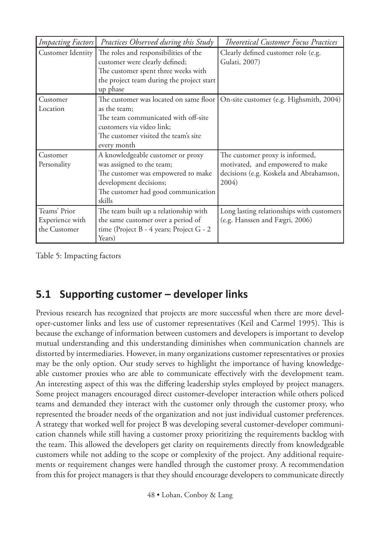| <b>Impacting Factors</b>                        | Practices Observed during this Study                                                                                                                                            | <b>Theoretical Customer Focus Practices</b>                                                                             |
|-------------------------------------------------|---------------------------------------------------------------------------------------------------------------------------------------------------------------------------------|-------------------------------------------------------------------------------------------------------------------------|
| Customer Identity                               | The roles and responsibilities of the<br>customer were clearly defined;<br>The customer spent three weeks with<br>the project team during the project start<br>up phase         | Clearly defined customer role (e.g.<br>Gulati, 2007)                                                                    |
| Customer<br>Location                            | as the team;<br>The team communicated with off-site<br>customers via video link;<br>The customer visited the team's site<br>every month                                         | The customer was located on same floor   On-site customer (e.g. Highsmith, 2004)                                        |
| Customer<br>Personality                         | A knowledgeable customer or proxy<br>was assigned to the team;<br>The customer was empowered to make<br>development decisions;<br>The customer had good communication<br>skills | The customer proxy is informed,<br>motivated, and empowered to make<br>decisions (e.g. Koskela and Abrahamson,<br>2004) |
| Teams' Prior<br>Experience with<br>the Customer | The team built up a relationship with<br>the same customer over a period of<br>time (Project B - 4 years; Project G - 2<br>Years)                                               | Long lasting relationships with customers<br>(e.g. Hanssen and Fægri, 2006)                                             |

Table 5: Impacting factors

### **5.1 Supporting customer – developer links**

Previous research has recognized that projects are more successful when there are more developer-customer links and less use of customer representatives (Keil and Carmel 1995). This is because the exchange of information between customers and developers is important to develop mutual understanding and this understanding diminishes when communication channels are distorted by intermediaries. However, in many organizations customer representatives or proxies may be the only option. Our study serves to highlight the importance of having knowledgeable customer proxies who are able to communicate effectively with the development team. An interesting aspect of this was the differing leadership styles employed by project managers. Some project managers encouraged direct customer-developer interaction while others policed teams and demanded they interact with the customer only through the customer proxy, who represented the broader needs of the organization and not just individual customer preferences. A strategy that worked well for project B was developing several customer-developer communication channels while still having a customer proxy prioritizing the requirements backlog with the team. This allowed the developers get clarity on requirements directly from knowledgeable customers while not adding to the scope or complexity of the project. Any additional requirements or requirement changes were handled through the customer proxy. A recommendation from this for project managers is that they should encourage developers to communicate directly

48 • Lohan, Conboy & Lang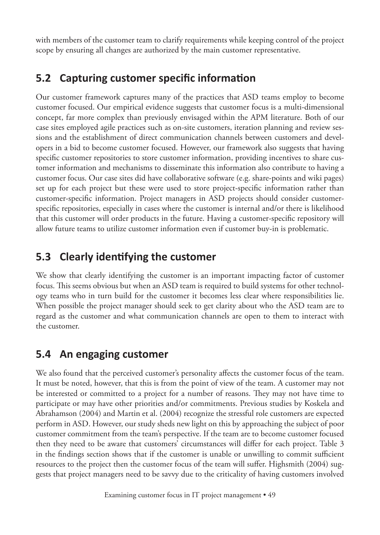with members of the customer team to clarify requirements while keeping control of the project scope by ensuring all changes are authorized by the main customer representative.

## **5.2 Capturing customer specific information**

Our customer framework captures many of the practices that ASD teams employ to become customer focused. Our empirical evidence suggests that customer focus is a multi-dimensional concept, far more complex than previously envisaged within the APM literature. Both of our case sites employed agile practices such as on-site customers, iteration planning and review sessions and the establishment of direct communication channels between customers and developers in a bid to become customer focused. However, our framework also suggests that having specific customer repositories to store customer information, providing incentives to share customer information and mechanisms to disseminate this information also contribute to having a customer focus. Our case sites did have collaborative software (e.g. share-points and wiki pages) set up for each project but these were used to store project-specific information rather than customer-specific information. Project managers in ASD projects should consider customerspecific repositories, especially in cases where the customer is internal and/or there is likelihood that this customer will order products in the future. Having a customer-specific repository will allow future teams to utilize customer information even if customer buy-in is problematic.

## **5.3 Clearly identifying the customer**

We show that clearly identifying the customer is an important impacting factor of customer focus. This seems obvious but when an ASD team is required to build systems for other technology teams who in turn build for the customer it becomes less clear where responsibilities lie. When possible the project manager should seek to get clarity about who the ASD team are to regard as the customer and what communication channels are open to them to interact with the customer.

### **5.4 An engaging customer**

We also found that the perceived customer's personality affects the customer focus of the team. It must be noted, however, that this is from the point of view of the team. A customer may not be interested or committed to a project for a number of reasons. They may not have time to participate or may have other priorities and/or commitments. Previous studies by Koskela and Abrahamson (2004) and Martin et al. (2004) recognize the stressful role customers are expected perform in ASD. However, our study sheds new light on this by approaching the subject of poor customer commitment from the team's perspective. If the team are to become customer focused then they need to be aware that customers' circumstances will differ for each project. Table 3 in the findings section shows that if the customer is unable or unwilling to commit sufficient resources to the project then the customer focus of the team will suffer. Highsmith (2004) suggests that project managers need to be savvy due to the criticality of having customers involved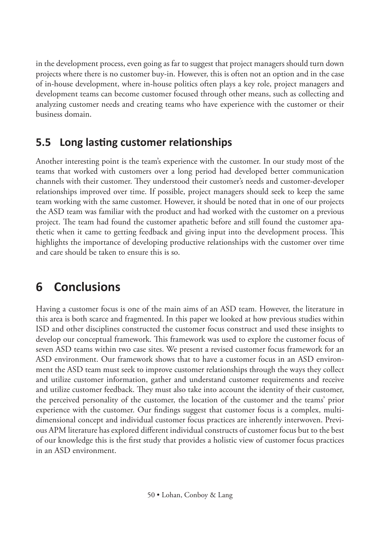in the development process, even going as far to suggest that project managers should turn down projects where there is no customer buy-in. However, this is often not an option and in the case of in-house development, where in-house politics often plays a key role, project managers and development teams can become customer focused through other means, such as collecting and analyzing customer needs and creating teams who have experience with the customer or their business domain.

## **5.5 Long lasting customer relationships**

Another interesting point is the team's experience with the customer. In our study most of the teams that worked with customers over a long period had developed better communication channels with their customer. They understood their customer's needs and customer-developer relationships improved over time. If possible, project managers should seek to keep the same team working with the same customer. However, it should be noted that in one of our projects the ASD team was familiar with the product and had worked with the customer on a previous project. The team had found the customer apathetic before and still found the customer apathetic when it came to getting feedback and giving input into the development process. This highlights the importance of developing productive relationships with the customer over time and care should be taken to ensure this is so.

# **6 Conclusions**

Having a customer focus is one of the main aims of an ASD team. However, the literature in this area is both scarce and fragmented. In this paper we looked at how previous studies within ISD and other disciplines constructed the customer focus construct and used these insights to develop our conceptual framework. This framework was used to explore the customer focus of seven ASD teams within two case sites. We present a revised customer focus framework for an ASD environment. Our framework shows that to have a customer focus in an ASD environment the ASD team must seek to improve customer relationships through the ways they collect and utilize customer information, gather and understand customer requirements and receive and utilize customer feedback. They must also take into account the identity of their customer, the perceived personality of the customer, the location of the customer and the teams' prior experience with the customer. Our findings suggest that customer focus is a complex, multidimensional concept and individual customer focus practices are inherently interwoven. Previous APM literature has explored different individual constructs of customer focus but to the best of our knowledge this is the first study that provides a holistic view of customer focus practices in an ASD environment.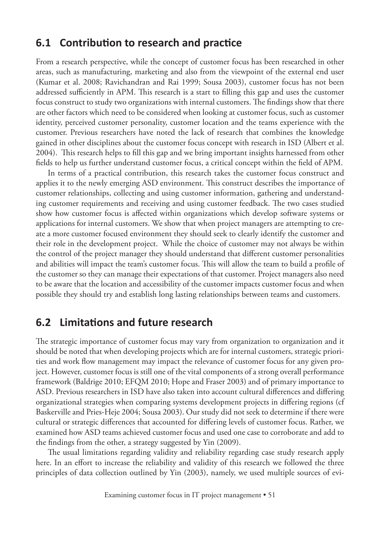#### **6.1 Contribution to research and practice**

From a research perspective, while the concept of customer focus has been researched in other areas, such as manufacturing, marketing and also from the viewpoint of the external end user (Kumar et al. 2008; Ravichandran and Rai 1999; Sousa 2003), customer focus has not been addressed sufficiently in APM. This research is a start to filling this gap and uses the customer focus construct to study two organizations with internal customers. The findings show that there are other factors which need to be considered when looking at customer focus, such as customer identity, perceived customer personality, customer location and the teams experience with the customer. Previous researchers have noted the lack of research that combines the knowledge gained in other disciplines about the customer focus concept with research in ISD (Albert et al. 2004). This research helps to fill this gap and we bring important insights harnessed from other fields to help us further understand customer focus, a critical concept within the field of APM.

In terms of a practical contribution, this research takes the customer focus construct and applies it to the newly emerging ASD environment. This construct describes the importance of customer relationships, collecting and using customer information, gathering and understanding customer requirements and receiving and using customer feedback. The two cases studied show how customer focus is affected within organizations which develop software systems or applications for internal customers. We show that when project managers are attempting to create a more customer focused environment they should seek to clearly identify the customer and their role in the development project. While the choice of customer may not always be within the control of the project manager they should understand that different customer personalities and abilities will impact the team's customer focus. This will allow the team to build a profile of the customer so they can manage their expectations of that customer. Project managers also need to be aware that the location and accessibility of the customer impacts customer focus and when possible they should try and establish long lasting relationships between teams and customers.

#### **6.2 Limitations and future research**

The strategic importance of customer focus may vary from organization to organization and it should be noted that when developing projects which are for internal customers, strategic priorities and work flow management may impact the relevance of customer focus for any given project. However, customer focus is still one of the vital components of a strong overall performance framework (Baldrige 2010; EFQM 2010; Hope and Fraser 2003) and of primary importance to ASD. Previous researchers in ISD have also taken into account cultural differences and differing organizational strategies when comparing systems development projects in differing regions (cf Baskerville and Pries-Heje 2004; Sousa 2003). Our study did not seek to determine if there were cultural or strategic differences that accounted for differing levels of customer focus. Rather, we examined how ASD teams achieved customer focus and used one case to corroborate and add to the findings from the other, a strategy suggested by Yin (2009).

The usual limitations regarding validity and reliability regarding case study research apply here. In an effort to increase the reliability and validity of this research we followed the three principles of data collection outlined by Yin (2003), namely, we used multiple sources of evi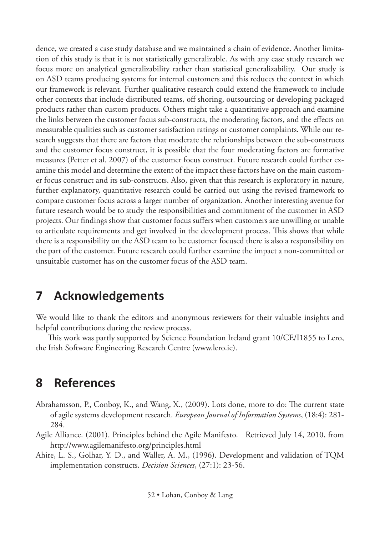dence, we created a case study database and we maintained a chain of evidence. Another limitation of this study is that it is not statistically generalizable. As with any case study research we focus more on analytical generalizability rather than statistical generalizability. Our study is on ASD teams producing systems for internal customers and this reduces the context in which our framework is relevant. Further qualitative research could extend the framework to include other contexts that include distributed teams, off shoring, outsourcing or developing packaged products rather than custom products. Others might take a quantitative approach and examine the links between the customer focus sub-constructs, the moderating factors, and the effects on measurable qualities such as customer satisfaction ratings or customer complaints. While our research suggests that there are factors that moderate the relationships between the sub-constructs and the customer focus construct, it is possible that the four moderating factors are formative measures (Petter et al. 2007) of the customer focus construct. Future research could further examine this model and determine the extent of the impact these factors have on the main customer focus construct and its sub-constructs. Also, given that this research is exploratory in nature, further explanatory, quantitative research could be carried out using the revised framework to compare customer focus across a larger number of organization. Another interesting avenue for future research would be to study the responsibilities and commitment of the customer in ASD projects. Our findings show that customer focus suffers when customers are unwilling or unable to articulate requirements and get involved in the development process. This shows that while there is a responsibility on the ASD team to be customer focused there is also a responsibility on the part of the customer. Future research could further examine the impact a non-committed or unsuitable customer has on the customer focus of the ASD team.

# **7 Acknowledgements**

We would like to thank the editors and anonymous reviewers for their valuable insights and helpful contributions during the review process.

This work was partly supported by Science Foundation Ireland grant 10/CE/I1855 to Lero, the Irish Software Engineering Research Centre (www.lero.ie).

# **8 References**

- Abrahamsson, P., Conboy, K., and Wang, X., (2009). Lots done, more to do: The current state of agile systems development research. *European Journal of Information Systems*, (18:4): 281- 284.
- Agile Alliance. (2001). Principles behind the Agile Manifesto. Retrieved July 14, 2010, from http://www.agilemanifesto.org/principles.html
- Ahire, L. S., Golhar, Y. D., and Waller, A. M., (1996). Development and validation of TQM implementation constructs. *Decision Sciences*, (27:1): 23-56.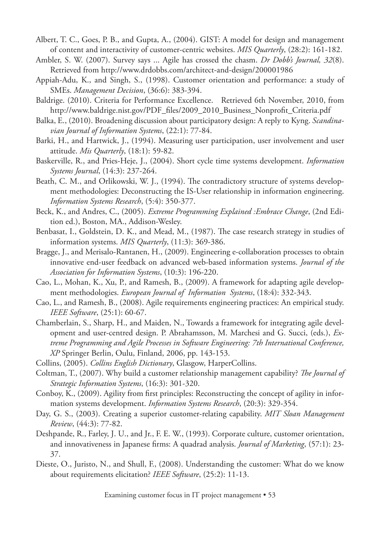- Albert, T. C., Goes, P. B., and Gupta, A., (2004). GIST: A model for design and management of content and interactivity of customer-centric websites. *MIS Quarterly*, (28:2): 161-182.
- Ambler, S. W. (2007). Survey says ... Agile has crossed the chasm. *Dr Dobb's Journal, 32*(8). Retrieved from http://www.drdobbs.com/architect-and-design/200001986
- Appiah-Adu, K., and Singh, S., (1998). Customer orientation and performance: a study of SMEs. *Management Decision*, (36:6): 383-394.
- Baldrige. (2010). Criteria for Performance Excellence. Retrieved 6th November, 2010, from http://www.baldrige.nist.gov/PDF\_files/2009\_2010\_Business\_Nonprofit\_Criteria.pdf
- Balka, E., (2010). Broadening discussion about participatory design: A reply to Kyng. *Scandinavian Journal of Information Systems*, (22:1): 77-84.
- Barki, H., and Hartwick, J., (1994). Measuring user participation, user involvement and user attitude. *Mis Quarterly*, (18:1): 59-82.
- Baskerville, R., and Pries-Heje, J., (2004). Short cycle time systems development. *Information Systems Journal*, (14:3): 237-264.
- Beath, C. M., and Orlikowski, W. J., (1994). The contradictory structure of systems development methodologies: Deconstructing the IS-User relationship in information engineering. *Information Systems Research*, (5:4): 350-377.
- Beck, K., and Andres, C., (2005). *Extreme Programming Explained :Embrace Change*, (2nd Edition ed.), Boston, MA., Addison-Wesley.
- Benbasat, I., Goldstein, D. K., and Mead, M., (1987). The case research strategy in studies of information systems. *MIS Quarterly*, (11:3): 369-386.
- Bragge, J., and Merisalo-Rantanen, H., (2009). Engineering e-collaboration processes to obtain innovative end-user feedback on advanced web-based information systems. *Journal of the Association for Information Systems*, (10:3): 196-220.
- Cao, L., Mohan, K., Xu, P., and Ramesh, B., (2009). A framework for adapting agile development methodologies. *European Journal of Information Systems*, (18:4): 332-343.
- Cao, L., and Ramesh, B., (2008). Agile requirements engineering practices: An empirical study. *IEEE Software*, (25:1): 60-67.
- Chamberlain, S., Sharp, H., and Maiden, N., Towards a framework for integrating agile development and user-centred design. P. Abrahamsson, M. Marchesi and G. Succi, (eds.), *Extreme Programming and Agile Processes in Software Engineering: 7th International Conference, XP* Springer Berlin, Oulu, Finland, 2006, pp. 143-153.
- Collins, (2005). *Collins English Dictionary*, Glasgow, HarperCollins.
- Coltman, T., (2007). Why build a customer relationship management capability? *The Journal of Strategic Information Systems*, (16:3): 301-320.
- Conboy, K., (2009). Agility from first principles: Reconstructing the concept of agility in information systems development. *Information Systems Research*, (20:3): 329-354.
- Day, G. S., (2003). Creating a superior customer-relating capability. *MIT Sloan Management Review*, (44:3): 77-82.
- Deshpande, R., Farley, J. U., and Jr., F. E. W., (1993). Corporate culture, customer orientation, and innovativeness in Japanese firms: A quadrad analysis. *Journal of Marketing*, (57:1): 23- 37.
- Dieste, O., Juristo, N., and Shull, F., (2008). Understanding the customer: What do we know about requirements elicitation? *IEEE Software*, (25:2): 11-13.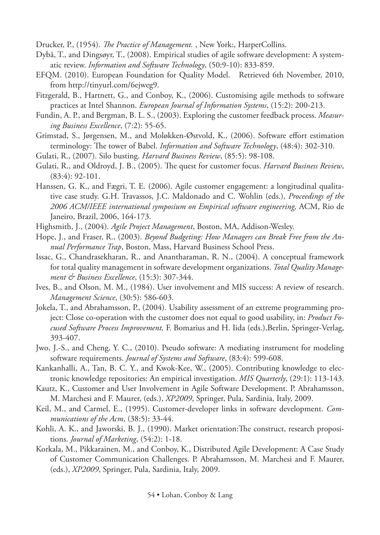Drucker, P., (1954). *The Practice of Management.* , New York:, HarperCollins.

- Dybå, T., and Dingsøyr, T., (2008). Empirical studies of agile software development: A systematic review. *Information and Software Technology*, (50:9-10): 833-859.
- EFQM. (2010). European Foundation for Quality Model. Retrieved 6th November, 2010, from http://tinyurl.com/6ejweg9.
- Fitzgerald, B., Hartnett, G., and Conboy, K., (2006). Customising agile methods to software practices at Intel Shannon. *European Journal of Information Systems*, (15:2): 200-213.
- Fundin, A. P., and Bergman, B. L. S., (2003). Exploring the customer feedback process. *Measuring Business Excellence*, (7:2): 55-65.
- Grimstad, S., Jørgensen, M., and Moløkken-Østvold, K., (2006). Software effort estimation terminology: The tower of Babel. *Information and Software Technology*, (48:4): 302-310.
- Gulati, R., (2007). Silo busting. *Harvard Business Review*, (85:5): 98-108.
- Gulati, R., and Oldroyd, J. B., (2005). The quest for customer focus. *Harvard Business Review*, (83:4): 92-101.
- Hanssen, G. K., and Fægri, T. E. (2006). Agile customer engagement: a longitudinal qualitative case study. G.H. Travassos, J.C. Maldonado and C. Wohlin (eds.), *Proceedings of the 2006 ACM/IEEE international symposium on Empirical software engineering,* ACM, Rio de Janeiro, Brazil, 2006, 164-173.
- Highsmith, J., (2004). *Agile Project Management*, Boston, MA, Addison-Wesley.
- Hope, J., and Fraser, R., (2003). *Beyond Budgeting: How Managers can Break Free from the Annual Performance Trap*, Boston, Mass, Harvard Business School Press.
- Issac, G., Chandrasekharan, R., and Anantharaman, R. N., (2004). A conceptual framework for total quality management in software development organizations. *Total Quality Management & Business Excellence*, (15:3): 307-344.
- Ives, B., and Olson, M. M., (1984). User involvement and MIS success: A review of research. *Management Science*, (30:5): 586-603.
- Jokela, T., and Abrahamsson, P., (2004). Usability assessment of an extreme programming project: Close co-operation with the customer does not equal to good usability, in: *Product Focused Software Process Improvement,* F. Bomarius and H. Iida (eds.),Berlin, Springer-Verlag, 393-407.
- Jwo, J.-S., and Cheng, Y. C., (2010). Pseudo software: A mediating instrument for modeling software requirements. *Journal of Systems and Software*, (83:4): 599-608.
- Kankanhalli, A., Tan, B. C. Y., and Kwok-Kee, W., (2005). Contributing knowledge to electronic knowledge repositories: An empirical investigation. *MIS Quarterly*, (29:1): 113-143.
- Kautz, K., Customer and User Involvement in Agile Software Development. P. Abrahamsson, M. Marchesi and F. Maurer, (eds.), *XP2009*, Springer, Pula, Sardinia, Italy, 2009.
- Keil, M., and Carmel, E., (1995). Customer-developer links in software development. *Communications of the Acm*, (38:5): 33-44.
- Kohli, A. K., and Jaworski, B. J., (1990). Market orientation:The construct, research propositions. *Journal of Marketing*, (54:2): 1-18.
- Korkala, M., Pikkarainen, M., and Conboy, K., Distributed Agile Development: A Case Study of Customer Communication Challenges. P. Abrahamsson, M. Marchesi and F. Maurer, (eds.), *XP2009*, Springer, Pula, Sardinia, Italy, 2009.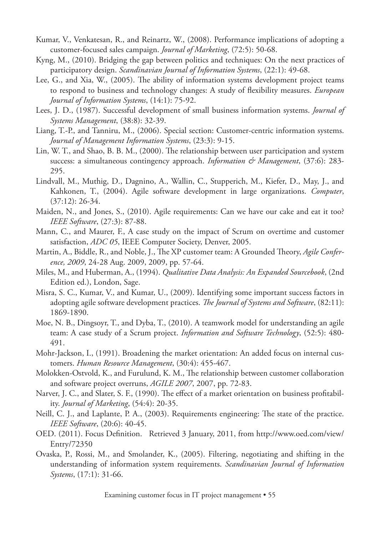- Kumar, V., Venkatesan, R., and Reinartz, W., (2008). Performance implications of adopting a customer-focused sales campaign. *Journal of Marketing*, (72:5): 50-68.
- Kyng, M., (2010). Bridging the gap between politics and techniques: On the next practices of participatory design. *Scandinavian Journal of Information Systems*, (22:1): 49-68.
- Lee, G., and Xia, W., (2005). The ability of information systems development project teams to respond to business and technology changes: A study of flexibility measures. *European Journal of Information Systems*, (14:1): 75-92.
- Lees, J. D., (1987). Successful development of small business information systems. *Journal of Systems Management*, (38:8): 32-39.
- Liang, T.-P., and Tanniru, M., (2006). Special section: Customer-centric information systems. *Journal of Management Information Systems*, (23:3): 9-15.
- Lin, W. T., and Shao, B. B. M., (2000). The relationship between user participation and system success: a simultaneous contingency approach. *Information & Management*, (37:6): 283- 295.
- Lindvall, M., Muthig, D., Dagnino, A., Wallin, C., Stupperich, M., Kiefer, D., May, J., and Kahkonen, T., (2004). Agile software development in large organizations. *Computer*, (37:12): 26-34.
- Maiden, N., and Jones, S., (2010). Agile requirements: Can we have our cake and eat it too? *IEEE Software*, (27:3): 87-88.
- Mann, C., and Maurer, F., A case study on the impact of Scrum on overtime and customer satisfaction, *ADC 05*, IEEE Computer Society, Denver, 2005.
- Martin, A., Biddle, R., and Noble, J., The XP customer team: A Grounded Theory, *Agile Conference, 2009*, 24-28 Aug. 2009, 2009, pp. 57-64.
- Miles, M., and Huberman, A., (1994). *Qualitative Data Analysis: An Expanded Sourcebook*, (2nd Edition ed.), London, Sage.
- Misra, S. C., Kumar, V., and Kumar, U., (2009). Identifying some important success factors in adopting agile software development practices. *The Journal of Systems and Software*, (82:11): 1869-1890.
- Moe, N. B., Dingsoyr, T., and Dyba, T., (2010). A teamwork model for understanding an agile team: A case study of a Scrum project. *Information and Software Technology*, (52:5): 480- 491.
- Mohr-Jackson, I., (1991). Broadening the market orientation: An added focus on internal customers. *Human Resource Management*, (30:4): 455-467.
- Molokken-Ostvold, K., and Furulund, K. M., The relationship between customer collaboration and software project overruns, *AGILE 2007*, 2007, pp. 72-83.
- Narver, J. C., and Slater, S. F., (1990). The effect of a market orientation on business profitability. *Journal of Marketing*, (54:4): 20-35.
- Neill, C. J., and Laplante, P. A., (2003). Requirements engineering: The state of the practice. *IEEE Software*, (20:6): 40-45.
- OED. (2011). Focus Definition. Retrieved 3 January, 2011, from http://www.oed.com/view/ Entry/72350
- Ovaska, P., Rossi, M., and Smolander, K., (2005). Filtering, negotiating and shifting in the understanding of information system requirements. *Scandinavian Journal of Information Systems*, (17:1): 31-66.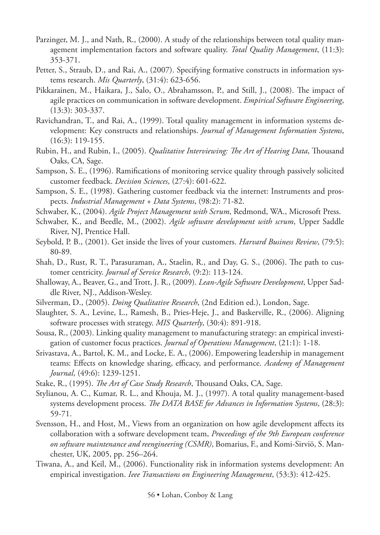- Parzinger, M. J., and Nath, R., (2000). A study of the relationships between total quality management implementation factors and software quality. *Total Quality Management*, (11:3): 353-371.
- Petter, S., Straub, D., and Rai, A., (2007). Specifying formative constructs in information systems research. *Mis Quarterly*, (31:4): 623-656.
- Pikkarainen, M., Haikara, J., Salo, O., Abrahamsson, P., and Still, J., (2008). The impact of agile practices on communication in software development. *Empirical Software Engineering*, (13:3): 303-337.
- Ravichandran, T., and Rai, A., (1999). Total quality management in information systems development: Key constructs and relationships. *Journal of Management Information Systems*, (16:3): 119-155.
- Rubin, H., and Rubin, I., (2005). *Qualitative Interviewing: The Art of Hearing Data*, Thousand Oaks, CA, Sage.
- Sampson, S. E., (1996). Ramifications of monitoring service quality through passively solicited customer feedback. *Decision Sciences*, (27:4): 601-622.
- Sampson, S. E., (1998). Gathering customer feedback via the internet: Instruments and prospects. *Industrial Management + Data Systems*, (98:2): 71-82.
- Schwaber, K., (2004). *Agile Project Management with Scrum*, Redmond, WA., Microsoft Press.
- Schwaber, K., and Beedle, M., (2002). *Agile software development with scrum*, Upper Saddle River, NJ, Prentice Hall.
- Seybold, P. B., (2001). Get inside the lives of your customers. *Harvard Business Review*, (79:5): 80-89.
- Shah, D., Rust, R. T., Parasuraman, A., Staelin, R., and Day, G. S., (2006). The path to customer centricity. *Journal of Service Research*, (9:2): 113-124.
- Shalloway, A., Beaver, G., and Trott, J. R., (2009). *Lean-Agile Software Development*, Upper Saddle River, NJ., Addison-Wesley.
- Silverman, D., (2005). *Doing Qualitative Research*, (2nd Edition ed.), London, Sage.
- Slaughter, S. A., Levine, L., Ramesh, B., Pries-Heje, J., and Baskerville, R., (2006). Aligning software processes with strategy. *MIS Quarterly*, (30:4): 891-918.
- Sousa, R., (2003). Linking quality management to manufacturing strategy: an empirical investigation of customer focus practices. *Journal of Operations Management*, (21:1): 1-18.
- Srivastava, A., Bartol, K. M., and Locke, E. A., (2006). Empowering leadership in management teams: Effects on knowledge sharing, efficacy, and performance. *Academy of Management Journal*, (49:6): 1239-1251.
- Stake, R., (1995). *The Art of Case Study Research*, Thousand Oaks, CA, Sage.
- Stylianou, A. C., Kumar, R. L., and Khouja, M. J., (1997). A total quality management-based systems development process. *The DATA BASE for Advances in Information Systems*, (28:3): 59-71.
- Svensson, H., and Host, M., Views from an organization on how agile development affects its collaboration with a software development team, *Proceedings of the 9th European conference on software maintenance and reengineering (CSMR)*, Bomarius, F., and Komi-Sirviö, S. Manchester, UK, 2005, pp. 256–264.
- Tiwana, A., and Keil, M., (2006). Functionality risk in information systems development: An empirical investigation. *Ieee Transactions on Engineering Management*, (53:3): 412-425.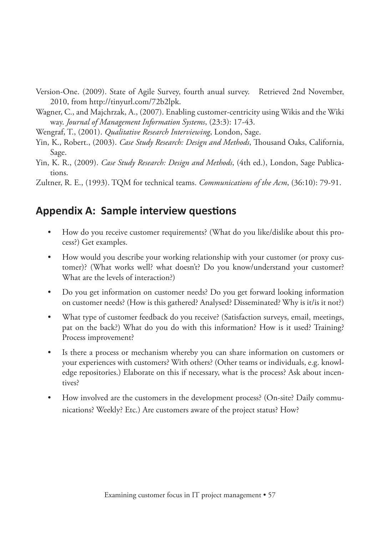- Version-One. (2009). State of Agile Survey, fourth anual survey. Retrieved 2nd November, 2010, from http://tinyurl.com/72b2lpk.
- Wagner, C., and Majchrzak, A., (2007). Enabling customer-centricity using Wikis and the Wiki way. *Journal of Management Information Systems*, (23:3): 17-43.
- Wengraf, T., (2001). *Qualitative Research Interviewing*, London, Sage.
- Yin, K., Robert., (2003). *Case Study Research: Design and Methods*, Thousand Oaks, California, Sage.
- Yin, K. R., (2009). *Case Study Research: Design and Methods*, (4th ed.), London, Sage Publications.
- Zultner, R. E., (1993). TQM for technical teams. *Communications of the Acm*, (36:10): 79-91.

#### **Appendix A: Sample interview questions**

- How do you receive customer requirements? (What do you like/dislike about this process?) Get examples.
- How would you describe your working relationship with your customer (or proxy customer)? (What works well? what doesn't? Do you know/understand your customer? What are the levels of interaction?)
- Do you get information on customer needs? Do you get forward looking information on customer needs? (How is this gathered? Analysed? Disseminated? Why is it/is it not?)
- What type of customer feedback do you receive? (Satisfaction surveys, email, meetings, pat on the back?) What do you do with this information? How is it used? Training? Process improvement?
- Is there a process or mechanism whereby you can share information on customers or your experiences with customers? With others? (Other teams or individuals, e.g. knowledge repositories.) Elaborate on this if necessary, what is the process? Ask about incentives?
- How involved are the customers in the development process? (On-site? Daily communications? Weekly? Etc.) Are customers aware of the project status? How?